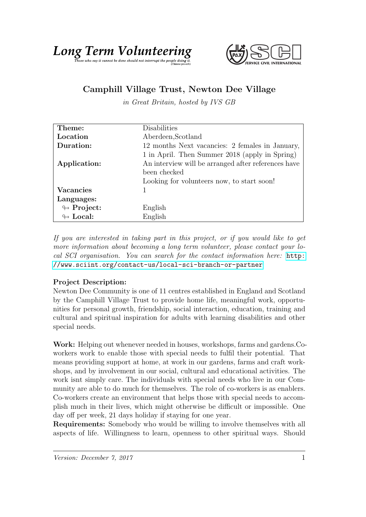## Long Term Volumeteering the Cring



## Camphill Village Trust, Newton Dee Village

in Great Britain, hosted by IVS GB

| Theme:                     | Disabilities                                        |
|----------------------------|-----------------------------------------------------|
| Location                   | Aberdeen, Scotland                                  |
| Duration:                  | 12 months Next vacancies: 2 females in January,     |
|                            | 1 in April. Then Summer 2018 (apply in Spring)      |
| Application:               | An interview will be arranged after references have |
|                            | been checked                                        |
|                            | Looking for volunteers now, to start soon!          |
| <b>Vacancies</b>           |                                                     |
| Languages:                 |                                                     |
| $\leftrightarrow$ Project: | English                                             |
| $\leftrightarrow$ Local:   | English                                             |

If you are interested in taking part in this project, or if you would like to get more information about becoming a long term volunteer, please contact your local SCI organisation. You can search for the contact information here: [http:](http://www.sciint.org/contact-us/local-sci-branch-or-partner) [//www.sciint.org/contact-us/local-sci-branch-or-partner](http://www.sciint.org/contact-us/local-sci-branch-or-partner)

## Project Description:

Newton Dee Community is one of 11 centres established in England and Scotland by the Camphill Village Trust to provide home life, meaningful work, opportunities for personal growth, friendship, social interaction, education, training and cultural and spiritual inspiration for adults with learning disabilities and other special needs.

Work: Helping out whenever needed in houses, workshops, farms and gardens.Coworkers work to enable those with special needs to fulfil their potential. That means providing support at home, at work in our gardens, farms and craft workshops, and by involvement in our social, cultural and educational activities. The work isnt simply care. The individuals with special needs who live in our Community are able to do much for themselves. The role of co-workers is as enablers. Co-workers create an environment that helps those with special needs to accomplish much in their lives, which might otherwise be difficult or impossible. One day off per week, 21 days holiday if staying for one year.

Requirements: Somebody who would be willing to involve themselves with all aspects of life. Willingness to learn, openness to other spiritual ways. Should